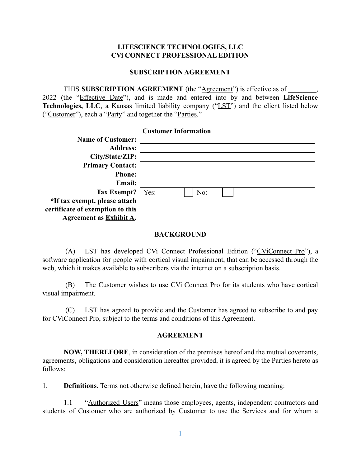## **LIFESCIENCE TECHNOLOGIES, LLC CVi CONNECT PROFESSIONAL EDITION**

#### **SUBSCRIPTION AGREEMENT**

### THIS **SUBSCRIPTION** AGREEMENT (the "Agreement") is effective as of

2022 (the "Effective Date"), and is made and entered into by and between **LifeScience Technologies, LLC**, a Kansas limited liability company ("LST") and the client listed below ("Customer"), each a "Party" and together the "Parties."

|                                  |      | <b>Customer Information</b> |  |  |
|----------------------------------|------|-----------------------------|--|--|
| <b>Name of Customer:</b>         |      |                             |  |  |
| <b>Address:</b>                  |      |                             |  |  |
| City/State/ZIP:                  |      |                             |  |  |
| <b>Primary Contact:</b>          |      |                             |  |  |
| <b>Phone:</b>                    |      |                             |  |  |
| <b>Email:</b>                    |      |                             |  |  |
| <b>Tax Exempt?</b>               | Yes: | No:                         |  |  |
| *If tax exempt, please attach    |      |                             |  |  |
| certificate of exemption to this |      |                             |  |  |
| Agreement as Exhibit A.          |      |                             |  |  |

#### **BACKGROUND**

(A) LST has developed CVi Connect Professional Edition ("CViConnect Pro"), a software application for people with cortical visual impairment, that can be accessed through the web, which it makes available to subscribers via the internet on a subscription basis.

(B) The Customer wishes to use CVi Connect Pro for its students who have cortical visual impairment.

(C) LST has agreed to provide and the Customer has agreed to subscribe to and pay for CViConnect Pro, subject to the terms and conditions of this Agreement.

#### **AGREEMENT**

**NOW, THEREFORE**, in consideration of the premises hereof and the mutual covenants, agreements, obligations and consideration hereafter provided, it is agreed by the Parties hereto as follows:

1. **Definitions.** Terms not otherwise defined herein, have the following meaning:

1.1 "Authorized Users" means those employees, agents, independent contractors and students of Customer who are authorized by Customer to use the Services and for whom a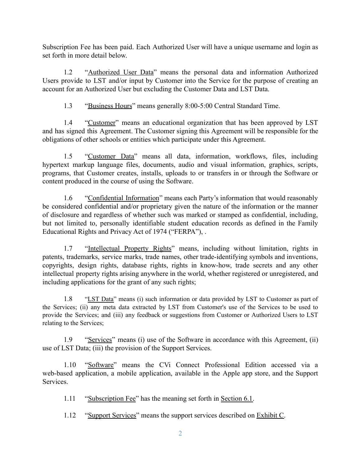Subscription Fee has been paid. Each Authorized User will have a unique username and login as set forth in more detail below.

1.2 "Authorized User Data" means the personal data and information Authorized Users provide to LST and/or input by Customer into the Service for the purpose of creating an account for an Authorized User but excluding the Customer Data and LST Data.

1.3 "Business Hours" means generally 8:00-5:00 Central Standard Time.

1.4 "Customer" means an educational organization that has been approved by LST and has signed this Agreement. The Customer signing this Agreement will be responsible for the obligations of other schools or entities which participate under this Agreement.

1.5 "Customer Data" means all data, information, workflows, files, including hypertext markup language files, documents, audio and visual information, graphics, scripts, programs, that Customer creates, installs, uploads to or transfers in or through the Software or content produced in the course of using the Software.

1.6 "Confidential Information" means each Party's information that would reasonably be considered confidential and/or proprietary given the nature of the information or the manner of disclosure and regardless of whether such was marked or stamped as confidential, including, but not limited to, personally identifiable student education records as defined in the Family Educational Rights and Privacy Act of 1974 ("FERPA"), .

1.7 "Intellectual Property Rights" means, including without limitation, rights in patents, trademarks, service marks, trade names, other trade-identifying symbols and inventions, copyrights, design rights, database rights, rights in know-how, trade secrets and any other intellectual property rights arising anywhere in the world, whether registered or unregistered, and including applications for the grant of any such rights;

1.8 "LST Data" means (i) such information or data provided by LST to Customer as part of the Services; (ii) any meta data extracted by LST from Customer's use of the Services to be used to provide the Services; and (iii) any feedback or suggestions from Customer or Authorized Users to LST relating to the Services;

1.9 "Services" means (i) use of the Software in accordance with this Agreement, (ii) use of LST Data; (iii) the provision of the Support Services.

1.10 "Software" means the CVi Connect Professional Edition accessed via a web-based application, a mobile application, available in the Apple app store, and the Support **Services** 

1.11 "Subscription Fee" has the meaning set forth in Section 6.1.

1.12 "Support Services" means the support services described on Exhibit C.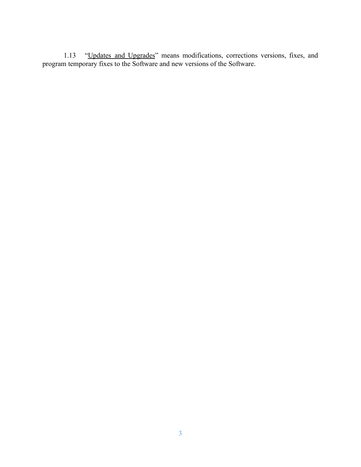1.13 "Updates and Upgrades" means modifications, corrections versions, fixes, and program temporary fixes to the Software and new versions of the Software.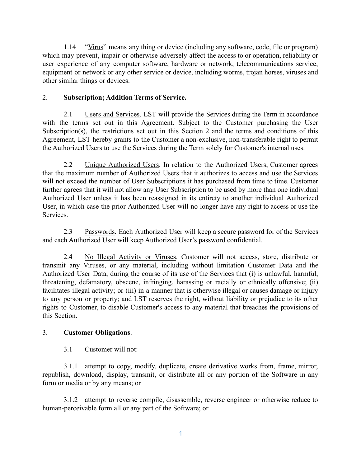1.14 "Virus" means any thing or device (including any software, code, file or program) which may prevent, impair or otherwise adversely affect the access to or operation, reliability or user experience of any computer software, hardware or network, telecommunications service, equipment or network or any other service or device, including worms, trojan horses, viruses and other similar things or devices.

## 2. **Subscription; Addition Terms of Service.**

2.1 Users and Services. LST will provide the Services during the Term in accordance with the terms set out in this Agreement. Subject to the Customer purchasing the User Subscription(s), the restrictions set out in this Section 2 and the terms and conditions of this Agreement, LST hereby grants to the Customer a non-exclusive, non-transferable right to permit the Authorized Users to use the Services during the Term solely for Customer's internal uses.

2.2 Unique Authorized Users. In relation to the Authorized Users, Customer agrees that the maximum number of Authorized Users that it authorizes to access and use the Services will not exceed the number of User Subscriptions it has purchased from time to time. Customer further agrees that it will not allow any User Subscription to be used by more than one individual Authorized User unless it has been reassigned in its entirety to another individual Authorized User, in which case the prior Authorized User will no longer have any right to access or use the Services.

2.3 Passwords. Each Authorized User will keep a secure password for of the Services and each Authorized User will keep Authorized User's password confidential.

2.4 No Illegal Activity or Viruses. Customer will not access, store, distribute or transmit any Viruses, or any material, including without limitation Customer Data and the Authorized User Data, during the course of its use of the Services that (i) is unlawful, harmful, threatening, defamatory, obscene, infringing, harassing or racially or ethnically offensive; (ii) facilitates illegal activity; or (iii) in a manner that is otherwise illegal or causes damage or injury to any person or property; and LST reserves the right, without liability or prejudice to its other rights to Customer, to disable Customer's access to any material that breaches the provisions of this Section.

## 3. **Customer Obligations**.

3.1 Customer will not:

3.1.1 attempt to copy, modify, duplicate, create derivative works from, frame, mirror, republish, download, display, transmit, or distribute all or any portion of the Software in any form or media or by any means; or

3.1.2 attempt to reverse compile, disassemble, reverse engineer or otherwise reduce to human-perceivable form all or any part of the Software; or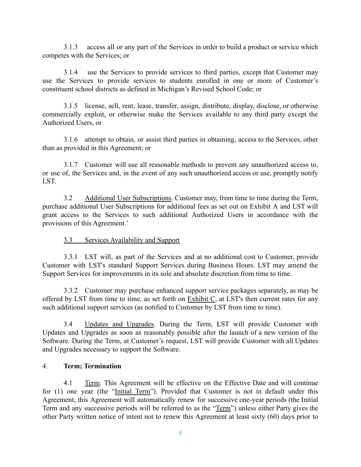3.1.3 access all or any part of the Services in order to build a product or service which competes with the Services; or

3.1.4 use the Services to provide services to third parties, except that Customer may use the Services to provide services to students enrolled in one or more of Customer's constituent school districts as defined in Michigan's Revised School Code; or

3.1.5 license, sell, rent, lease, transfer, assign, distribute, display, disclose, or otherwise commercially exploit, or otherwise make the Services available to any third party except the Authorized Users, or

3.1.6 attempt to obtain, or assist third parties in obtaining, access to the Services, other than as provided in this Agreement; or

3.1.7 Customer will use all reasonable methods to prevent any unauthorized access to, or use of, the Services and, in the event of any such unauthorized access or use, promptly notify LST.

3.2 Additional User Subscriptions. Customer may, from time to time during the Term, purchase additional User Subscriptions for additional fees as set out on Exhibit A and LST will grant access to the Services to such additional Authorized Users in accordance with the provisions of this Agreement.'

## 3.3 Services Availability and Support

3.3.1 LST will, as part of the Services and at no additional cost to Customer, provide Customer with LST's standard Support Services during Business Hours. LST may amend the Support Services for improvements in its sole and absolute discretion from time to time.

3.3.2 Customer may purchase enhanced support service packages separately, as may be offered by LST from time to time, as set forth on Exhibit C, at LST's then current rates for any such additional support services (as notified to Customer by LST from time to time).

3.4 Updates and Upgrades. During the Term, LST will provide Customer with Updates and Upgrades as soon as reasonably possible after the launch of a new version of the Software. During the Term, at Customer's request, LST will provide Customer with all Updates and Upgrades necessary to support the Software.

## 4. **Term; Termination**

4.1 Term. This Agreement will be effective on the Effective Date and will continue for (1) one year (the "Initial Term"). Provided that Customer is not in default under this Agreement, this Agreement will automatically renew for successive one-year periods (the Initial Term and any successive periods will be referred to as the "Term") unless either Party gives the other Party written notice of intent not to renew this Agreement at least sixty (60) days prior to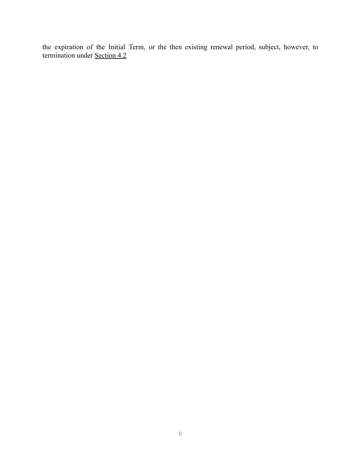the expiration of the Initial Term, or the then existing renewal period, subject, however, to termination under Section 4.2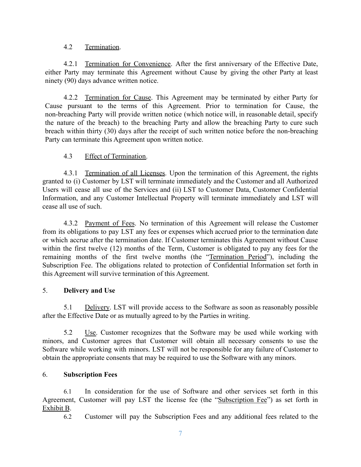## 4.2 Termination.

4.2.1 Termination for Convenience. After the first anniversary of the Effective Date, either Party may terminate this Agreement without Cause by giving the other Party at least ninety (90) days advance written notice.

4.2.2 Termination for Cause. This Agreement may be terminated by either Party for Cause pursuant to the terms of this Agreement. Prior to termination for Cause, the non-breaching Party will provide written notice (which notice will, in reasonable detail, specify the nature of the breach) to the breaching Party and allow the breaching Party to cure such breach within thirty (30) days after the receipt of such written notice before the non-breaching Party can terminate this Agreement upon written notice.

## 4.3 Effect of Termination.

4.3.1 Termination of all Licenses. Upon the termination of this Agreement, the rights granted to (i) Customer by LST will terminate immediately and the Customer and all Authorized Users will cease all use of the Services and (ii) LST to Customer Data, Customer Confidential Information, and any Customer Intellectual Property will terminate immediately and LST will cease all use of such.

4.3.2 Payment of Fees. No termination of this Agreement will release the Customer from its obligations to pay LST any fees or expenses which accrued prior to the termination date or which accrue after the termination date. If Customer terminates this Agreement without Cause within the first twelve (12) months of the Term, Customer is obligated to pay any fees for the remaining months of the first twelve months (the "Termination Period"), including the Subscription Fee. The obligations related to protection of Confidential Information set forth in this Agreement will survive termination of this Agreement.

## 5. **Delivery and Use**

5.1 Delivery. LST will provide access to the Software as soon as reasonably possible after the Effective Date or as mutually agreed to by the Parties in writing.

5.2 Use. Customer recognizes that the Software may be used while working with minors, and Customer agrees that Customer will obtain all necessary consents to use the Software while working with minors. LST will not be responsible for any failure of Customer to obtain the appropriate consents that may be required to use the Software with any minors.

## 6. **Subscription Fees**

6.1 In consideration for the use of Software and other services set forth in this Agreement, Customer will pay LST the license fee (the "Subscription Fee") as set forth in Exhibit B.

6.2 Customer will pay the Subscription Fees and any additional fees related to the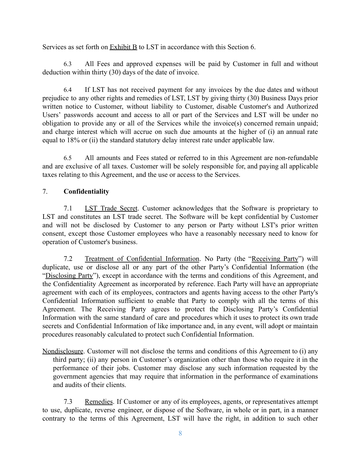Services as set forth on Exhibit B to LST in accordance with this Section 6.

6.3 All Fees and approved expenses will be paid by Customer in full and without deduction within thirty (30) days of the date of invoice.

6.4 If LST has not received payment for any invoices by the due dates and without prejudice to any other rights and remedies of LST, LST by giving thirty (30) Business Days prior written notice to Customer, without liability to Customer, disable Customer's and Authorized Users' passwords account and access to all or part of the Services and LST will be under no obligation to provide any or all of the Services while the invoice(s) concerned remain unpaid; and charge interest which will accrue on such due amounts at the higher of (i) an annual rate equal to 18% or (ii) the standard statutory delay interest rate under applicable law.

6.5 All amounts and Fees stated or referred to in this Agreement are non-refundable and are exclusive of all taxes. Customer will be solely responsible for, and paying all applicable taxes relating to this Agreement, and the use or access to the Services.

# 7. **Confidentiality**

7.1 LST Trade Secret. Customer acknowledges that the Software is proprietary to LST and constitutes an LST trade secret. The Software will be kept confidential by Customer and will not be disclosed by Customer to any person or Party without LST's prior written consent, except those Customer employees who have a reasonably necessary need to know for operation of Customer's business.

7.2 Treatment of Confidential Information. No Party (the "Receiving Party") will duplicate, use or disclose all or any part of the other Party's Confidential Information (the "Disclosing Party"), except in accordance with the terms and conditions of this Agreement, and the Confidentiality Agreement as incorporated by reference. Each Party will have an appropriate agreement with each of its employees, contractors and agents having access to the other Party's Confidential Information sufficient to enable that Party to comply with all the terms of this Agreement. The Receiving Party agrees to protect the Disclosing Party's Confidential Information with the same standard of care and procedures which it uses to protect its own trade secrets and Confidential Information of like importance and, in any event, will adopt or maintain procedures reasonably calculated to protect such Confidential Information.

Nondisclosure. Customer will not disclose the terms and conditions of this Agreement to (i) any third party; (ii) any person in Customer's organization other than those who require it in the performance of their jobs. Customer may disclose any such information requested by the government agencies that may require that information in the performance of examinations and audits of their clients.

7.3 Remedies. If Customer or any of its employees, agents, or representatives attempt to use, duplicate, reverse engineer, or dispose of the Software, in whole or in part, in a manner contrary to the terms of this Agreement, LST will have the right, in addition to such other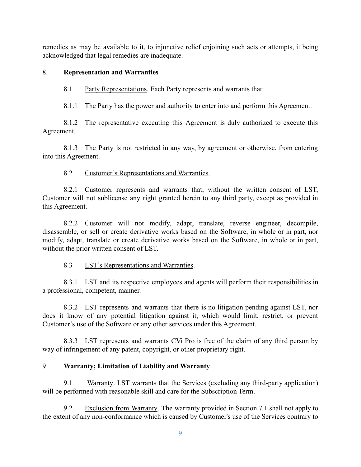remedies as may be available to it, to injunctive relief enjoining such acts or attempts, it being acknowledged that legal remedies are inadequate.

## 8. **Representation and Warranties**

8.1 Party Representations. Each Party represents and warrants that:

8.1.1 The Party has the power and authority to enter into and perform this Agreement.

8.1.2 The representative executing this Agreement is duly authorized to execute this Agreement.

8.1.3 The Party is not restricted in any way, by agreement or otherwise, from entering into this Agreement.

# 8.2 Customer's Representations and Warranties.

8.2.1 Customer represents and warrants that, without the written consent of LST, Customer will not sublicense any right granted herein to any third party, except as provided in this Agreement.

8.2.2 Customer will not modify, adapt, translate, reverse engineer, decompile, disassemble, or sell or create derivative works based on the Software, in whole or in part, nor modify, adapt, translate or create derivative works based on the Software, in whole or in part, without the prior written consent of LST.

# 8.3 LST's Representations and Warranties.

8.3.1 LST and its respective employees and agents will perform their responsibilities in a professional, competent, manner.

8.3.2 LST represents and warrants that there is no litigation pending against LST, nor does it know of any potential litigation against it, which would limit, restrict, or prevent Customer's use of the Software or any other services under this Agreement.

8.3.3 LST represents and warrants CVi Pro is free of the claim of any third person by way of infringement of any patent, copyright, or other proprietary right.

# 9. **Warranty; Limitation of Liability and Warranty**

9.1 Warranty. LST warrants that the Services (excluding any third-party application) will be performed with reasonable skill and care for the Subscription Term.

9.2 Exclusion from Warranty. The warranty provided in Section 7.1 shall not apply to the extent of any non-conformance which is caused by Customer's use of the Services contrary to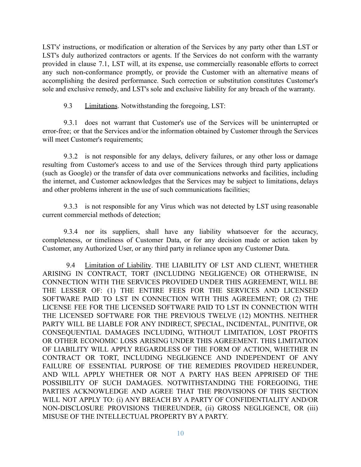LST's' instructions, or modification or alteration of the Services by any party other than LST or LST's duly authorized contractors or agents. If the Services do not conform with the warranty provided in clause 7.1, LST will, at its expense, use commercially reasonable efforts to correct any such non-conformance promptly, or provide the Customer with an alternative means of accomplishing the desired performance. Such correction or substitution constitutes Customer's sole and exclusive remedy, and LST's sole and exclusive liability for any breach of the warranty.

9.3 Limitations. Notwithstanding the foregoing, LST:

9.3.1 does not warrant that Customer's use of the Services will be uninterrupted or error-free; or that the Services and/or the information obtained by Customer through the Services will meet Customer's requirements;

9.3.2 is not responsible for any delays, delivery failures, or any other loss or damage resulting from Customer's access to and use of the Services through third party applications (such as Google) or the transfer of data over communications networks and facilities, including the internet, and Customer acknowledges that the Services may be subject to limitations, delays and other problems inherent in the use of such communications facilities;

9.3.3 is not responsible for any Virus which was not detected by LST using reasonable current commercial methods of detection;

9.3.4 nor its suppliers, shall have any liability whatsoever for the accuracy, completeness, or timeliness of Customer Data, or for any decision made or action taken by Customer, any Authorized User, or any third party in reliance upon any Customer Data.

9.4 Limitation of Liability. THE LIABILITY OF LST AND CLIENT, WHETHER ARISING IN CONTRACT, TORT (INCLUDING NEGLIGENCE) OR OTHERWISE, IN CONNECTION WITH THE SERVICES PROVIDED UNDER THIS AGREEMENT, WILL BE THE LESSER OF: (1) THE ENTIRE FEES FOR THE SERVICES AND LICENSED SOFTWARE PAID TO LST IN CONNECTION WITH THIS AGREEMENT; OR (2) THE LICENSE FEE FOR THE LICENSED SOFTWARE PAID TO LST IN CONNECTION WITH THE LICENSED SOFTWARE FOR THE PREVIOUS TWELVE (12) MONTHS. NEITHER PARTY WILL BE LIABLE FOR ANY INDIRECT, SPECIAL, INCIDENTAL, PUNITIVE, OR CONSEQUENTIAL DAMAGES INCLUDING, WITHOUT LIMITATION, LOST PROFITS OR OTHER ECONOMIC LOSS ARISING UNDER THIS AGREEMENT. THIS LIMITATION OF LIABILITY WILL APPLY REGARDLESS OF THE FORM OF ACTION, WHETHER IN CONTRACT OR TORT, INCLUDING NEGLIGENCE AND INDEPENDENT OF ANY FAILURE OF ESSENTIAL PURPOSE OF THE REMEDIES PROVIDED HEREUNDER, AND WILL APPLY WHETHER OR NOT A PARTY HAS BEEN APPRISED OF THE POSSIBILITY OF SUCH DAMAGES. NOTWITHSTANDING THE FOREGOING, THE PARTIES ACKNOWLEDGE AND AGREE THAT THE PROVISIONS OF THIS SECTION WILL NOT APPLY TO: (i) ANY BREACH BY A PARTY OF CONFIDENTIALITY AND/OR NON-DISCLOSURE PROVISIONS THEREUNDER, (ii) GROSS NEGLIGENCE, OR (iii) MISUSE OF THE INTELLECTUAL PROPERTY BY A PARTY.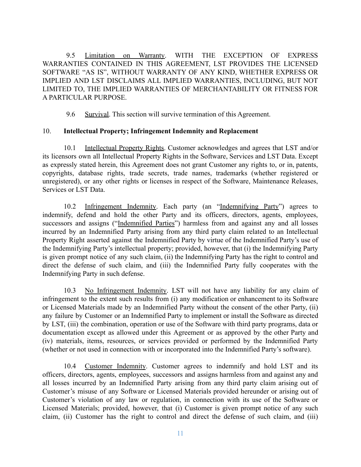9.5 Limitation on Warranty. WITH THE EXCEPTION OF EXPRESS WARRANTIES CONTAINED IN THIS AGREEMENT, LST PROVIDES THE LICENSED SOFTWARE "AS IS", WITHOUT WARRANTY OF ANY KIND, WHETHER EXPRESS OR IMPLIED AND LST DISCLAIMS ALL IMPLIED WARRANTIES, INCLUDING, BUT NOT LIMITED TO, THE IMPLIED WARRANTIES OF MERCHANTABILITY OR FITNESS FOR A PARTICULAR PURPOSE.

9.6 Survival. This section will survive termination of this Agreement.

## 10. **Intellectual Property; Infringement Indemnity and Replacement**

10.1 Intellectual Property Rights. Customer acknowledges and agrees that LST and/or its licensors own all Intellectual Property Rights in the Software, Services and LST Data. Except as expressly stated herein, this Agreement does not grant Customer any rights to, or in, patents, copyrights, database rights, trade secrets, trade names, trademarks (whether registered or unregistered), or any other rights or licenses in respect of the Software, Maintenance Releases, Services or LST Data.

10.2 Infringement Indemnity. Each party (an "Indemnifying Party") agrees to indemnify, defend and hold the other Party and its officers, directors, agents, employees, successors and assigns ("Indemnified Parties") harmless from and against any and all losses incurred by an Indemnified Party arising from any third party claim related to an Intellectual Property Right asserted against the Indemnified Party by virtue of the Indemnified Party's use of the Indemnifying Party's intellectual property; provided, however, that (i) the Indemnifying Party is given prompt notice of any such claim, (ii) the Indemnifying Party has the right to control and direct the defense of such claim, and (iii) the Indemnified Party fully cooperates with the Indemnifying Party in such defense.

10.3 No Infringement Indemnity. LST will not have any liability for any claim of infringement to the extent such results from (i) any modification or enhancement to its Software or Licensed Materials made by an Indemnified Party without the consent of the other Party, (ii) any failure by Customer or an Indemnified Party to implement or install the Software as directed by LST, (iii) the combination, operation or use of the Software with third party programs, data or documentation except as allowed under this Agreement or as approved by the other Party and (iv) materials, items, resources, or services provided or performed by the Indemnified Party (whether or not used in connection with or incorporated into the Indemnified Party's software).

10.4 Customer Indemnity. Customer agrees to indemnify and hold LST and its officers, directors, agents, employees, successors and assigns harmless from and against any and all losses incurred by an Indemnified Party arising from any third party claim arising out of Customer's misuse of any Software or Licensed Materials provided hereunder or arising out of Customer's violation of any law or regulation, in connection with its use of the Software or Licensed Materials; provided, however, that (i) Customer is given prompt notice of any such claim, (ii) Customer has the right to control and direct the defense of such claim, and (iii)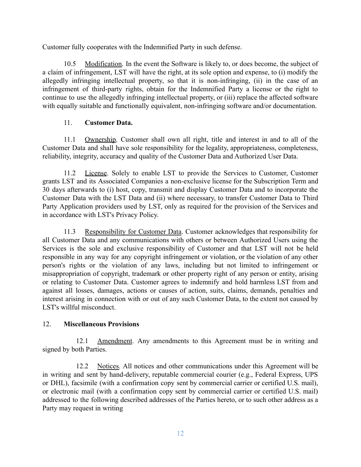Customer fully cooperates with the Indemnified Party in such defense.

10.5 Modification. In the event the Software is likely to, or does become, the subject of a claim of infringement, LST will have the right, at its sole option and expense, to (i) modify the allegedly infringing intellectual property, so that it is non-infringing, (ii) in the case of an infringement of third-party rights, obtain for the Indemnified Party a license or the right to continue to use the allegedly infringing intellectual property, or (iii) replace the affected software with equally suitable and functionally equivalent, non-infringing software and/or documentation.

## 11. **Customer Data.**

11.1 Ownership. Customer shall own all right, title and interest in and to all of the Customer Data and shall have sole responsibility for the legality, appropriateness, completeness, reliability, integrity, accuracy and quality of the Customer Data and Authorized User Data.

11.2 License. Solely to enable LST to provide the Services to Customer, Customer grants LST and its Associated Companies a non-exclusive license for the Subscription Term and 30 days afterwards to (i) host, copy, transmit and display Customer Data and to incorporate the Customer Data with the LST Data and (ii) where necessary, to transfer Customer Data to Third Party Application providers used by LST, only as required for the provision of the Services and in accordance with LST's Privacy Policy.

11.3 Responsibility for Customer Data. Customer acknowledges that responsibility for all Customer Data and any communications with others or between Authorized Users using the Services is the sole and exclusive responsibility of Customer and that LST will not be held responsible in any way for any copyright infringement or violation, or the violation of any other person's rights or the violation of any laws, including but not limited to infringement or misappropriation of copyright, trademark or other property right of any person or entity, arising or relating to Customer Data. Customer agrees to indemnify and hold harmless LST from and against all losses, damages, actions or causes of action, suits, claims, demands, penalties and interest arising in connection with or out of any such Customer Data, to the extent not caused by LST's willful misconduct.

## 12. **Miscellaneous Provisions**

12.1 Amendment. Any amendments to this Agreement must be in writing and signed by both Parties.

12.2 Notices. All notices and other communications under this Agreement will be in writing and sent by hand-delivery, reputable commercial courier (e.g., Federal Express, UPS or DHL), facsimile (with a confirmation copy sent by commercial carrier or certified U.S. mail), or electronic mail (with a confirmation copy sent by commercial carrier or certified U.S. mail) addressed to the following described addresses of the Parties hereto, or to such other address as a Party may request in writing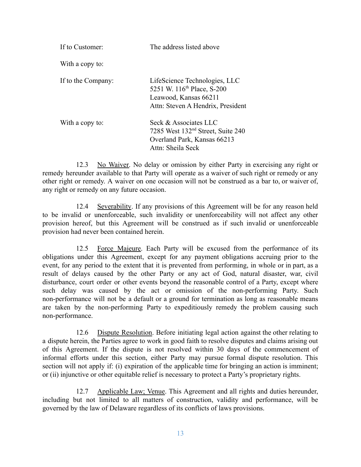| If to Customer     | The address listed above                                                                                                              |  |
|--------------------|---------------------------------------------------------------------------------------------------------------------------------------|--|
| With a copy to:    |                                                                                                                                       |  |
| If to the Company: | LifeScience Technologies, LLC<br>5251 W. 116 <sup>th</sup> Place, S-200<br>Leawood, Kansas 66211<br>Attn: Steven A Hendrix, President |  |
| With a copy to:    | Seck & Associates LLC<br>7285 West 132 <sup>nd</sup> Street, Suite 240<br>Overland Park, Kansas 66213<br>Attn: Sheila Seck            |  |

12.3 No Waiver. No delay or omission by either Party in exercising any right or remedy hereunder available to that Party will operate as a waiver of such right or remedy or any other right or remedy. A waiver on one occasion will not be construed as a bar to, or waiver of, any right or remedy on any future occasion.

12.4 Severability. If any provisions of this Agreement will be for any reason held to be invalid or unenforceable, such invalidity or unenforceability will not affect any other provision hereof, but this Agreement will be construed as if such invalid or unenforceable provision had never been contained herein.

12.5 Force Majeure. Each Party will be excused from the performance of its obligations under this Agreement, except for any payment obligations accruing prior to the event, for any period to the extent that it is prevented from performing, in whole or in part, as a result of delays caused by the other Party or any act of God, natural disaster, war, civil disturbance, court order or other events beyond the reasonable control of a Party, except where such delay was caused by the act or omission of the non-performing Party. Such non-performance will not be a default or a ground for termination as long as reasonable means are taken by the non-performing Party to expeditiously remedy the problem causing such non-performance.

12.6 Dispute Resolution. Before initiating legal action against the other relating to a dispute herein, the Parties agree to work in good faith to resolve disputes and claims arising out of this Agreement. If the dispute is not resolved within 30 days of the commencement of informal efforts under this section, either Party may pursue formal dispute resolution. This section will not apply if: (i) expiration of the applicable time for bringing an action is imminent; or (ii) injunctive or other equitable relief is necessary to protect a Party's proprietary rights.

12.7 Applicable Law; Venue. This Agreement and all rights and duties hereunder, including but not limited to all matters of construction, validity and performance, will be governed by the law of Delaware regardless of its conflicts of laws provisions.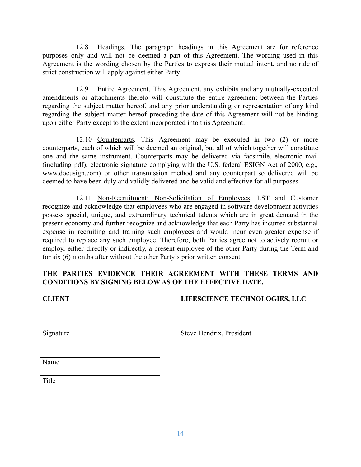12.8 Headings. The paragraph headings in this Agreement are for reference purposes only and will not be deemed a part of this Agreement. The wording used in this Agreement is the wording chosen by the Parties to express their mutual intent, and no rule of strict construction will apply against either Party.

12.9 Entire Agreement. This Agreement, any exhibits and any mutually-executed amendments or attachments thereto will constitute the entire agreement between the Parties regarding the subject matter hereof, and any prior understanding or representation of any kind regarding the subject matter hereof preceding the date of this Agreement will not be binding upon either Party except to the extent incorporated into this Agreement.

12.10 Counterparts. This Agreement may be executed in two (2) or more counterparts, each of which will be deemed an original, but all of which together will constitute one and the same instrument. Counterparts may be delivered via facsimile, electronic mail (including pdf), electronic signature complying with the U.S. federal ESIGN Act of 2000, e.g., www.docusign.com) or other transmission method and any counterpart so delivered will be deemed to have been duly and validly delivered and be valid and effective for all purposes.

12.11 Non-Recruitment; Non-Solicitation of Employees. LST and Customer recognize and acknowledge that employees who are engaged in software development activities possess special, unique, and extraordinary technical talents which are in great demand in the present economy and further recognize and acknowledge that each Party has incurred substantial expense in recruiting and training such employees and would incur even greater expense if required to replace any such employee. Therefore, both Parties agree not to actively recruit or employ, either directly or indirectly, a present employee of the other Party during the Term and for six (6) months after without the other Party's prior written consent.

## **THE PARTIES EVIDENCE THEIR AGREEMENT WITH THESE TERMS AND CONDITIONS BY SIGNING BELOW AS OF THE EFFECTIVE DATE.**

## **CLIENT LIFESCIENCE TECHNOLOGIES, LLC**

Signature Signature Steve Hendrix, President

Name

Title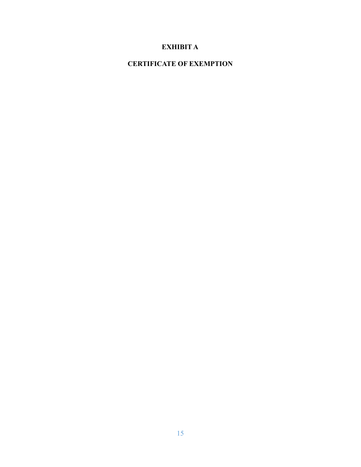# **EXHIBIT A**

# **CERTIFICATE OF EXEMPTION**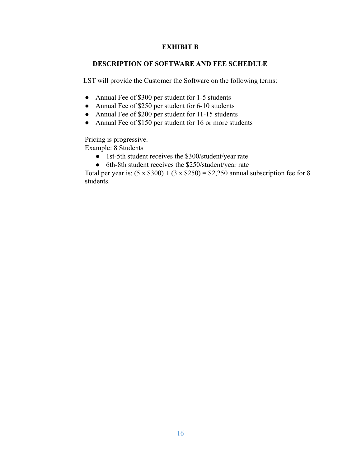### **EXHIBIT B**

#### **DESCRIPTION OF SOFTWARE AND FEE SCHEDULE**

LST will provide the Customer the Software on the following terms:

- Annual Fee of \$300 per student for 1-5 students
- Annual Fee of \$250 per student for 6-10 students
- Annual Fee of \$200 per student for 11-15 students
- Annual Fee of \$150 per student for 16 or more students

Pricing is progressive. Example: 8 Students

- 1st-5th student receives the \$300/student/year rate
- 6th-8th student receives the \$250/student/year rate

Total per year is:  $(5 \times $300) + (3 \times $250) = $2,250$  annual subscription fee for 8 students.